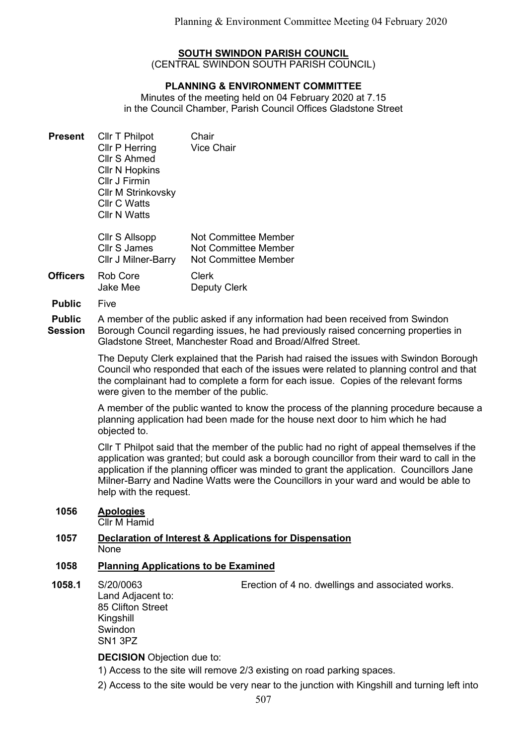## SOUTH SWINDON PARISH COUNCIL

(CENTRAL SWINDON SOUTH PARISH COUNCIL)

## PLANNING & ENVIRONMENT COMMITTEE

Minutes of the meeting held on 04 February 2020 at 7.15 in the Council Chamber, Parish Council Offices Gladstone Street

- **Present** Cllr T Philpot Chair Cllr P Herring Vice Chair Cllr S Ahmed Cllr N Hopkins Cllr J Firmin Cllr M Strinkovsky Cllr C Watts Cllr N Watts
	- Cllr S Allsopp Cllr S James Cllr J Milner-Barry Not Committee Member Not Committee Member Not Committee Member
- Officers Rob Core Jake Mee Clerk Deputy Clerk
- Public Five

Public **Session** A member of the public asked if any information had been received from Swindon Borough Council regarding issues, he had previously raised concerning properties in

Gladstone Street, Manchester Road and Broad/Alfred Street.

The Deputy Clerk explained that the Parish had raised the issues with Swindon Borough Council who responded that each of the issues were related to planning control and that the complainant had to complete a form for each issue. Copies of the relevant forms were given to the member of the public.

A member of the public wanted to know the process of the planning procedure because a planning application had been made for the house next door to him which he had objected to.

Cllr T Philpot said that the member of the public had no right of appeal themselves if the application was granted; but could ask a borough councillor from their ward to call in the application if the planning officer was minded to grant the application. Councillors Jane Milner-Barry and Nadine Watts were the Councillors in your ward and would be able to help with the request.

# 1056 Apologies

Cllr M Hamid

## 1057 Declaration of Interest & Applications for Dispensation None

## 1058 Planning Applications to be Examined

# 1058.1 S/20/0063

Erection of 4 no. dwellings and associated works.

Land Adjacent to: 85 Clifton Street Kingshill Swindon SN1 3PZ

DECISION Objection due to:

- 1) Access to the site will remove 2/3 existing on road parking spaces.
- 2) Access to the site would be very near to the junction with Kingshill and turning left into